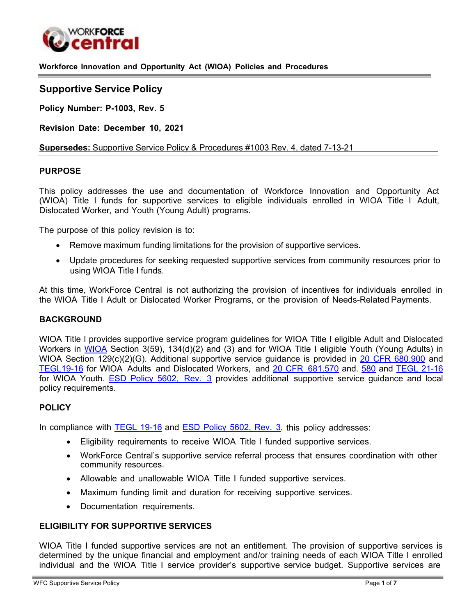

**Workforce Innovation and Opportunity Act (WIOA) Policies and Procedures** 

# **Supportive Service Policy**

**Policy Number: P-1003, Rev. 5** 

**Revision Date: December 10, 2021**

**Supersedes:** Supportive Service Policy & Procedures #1003 Rev. 4, dated 7-13-21

## **PURPOSE**

This policy addresses the use and documentation of Workforce Innovation and Opportunity Act (WIOA) Title I funds for supportive services to eligible individuals enrolled in WIOA Title I Adult, Dislocated Worker, and Youth (Young Adult) programs.

The purpose of this policy revision is to:

- Remove maximum funding limitations for the provision of supportive services.
- Update procedures for seeking requested supportive services from community resources prior to using WIOA Title I funds.

At this time, WorkForce Central is not authorizing the provision of incentives for individuals enrolled in the WIOA Title I Adult or Dislocated Worker Programs, or the provision of Needs-Related Payments.

#### **BACKGROUND**

WIOA Title I provides supportive service program guidelines for WIOA Title I eligible Adult and Dislocated Workers in [WIOA](https://www.congress.gov/113/bills/hr803/BILLS-113hr803enr.pdf) Section 3(59), 134(d)(2) and (3) and for WIOA Title I eligible Youth (Young Adults) in WIOA Section 129(c)(2)(G). Additional supportive service guidance is provided in [20 CFR 680.900](https://www.ecfr.gov/cgi-bin/text-idx?node=se20.4.680_1900&rgn=div8) and [TEGL19-16](https://wdr.doleta.gov/directives/attach/TEGL/TEGL_19-16.pdf) for WIOA Adults and Dislocated Workers, and [20 CFR](https://www.govinfo.gov/app/details/CFR-2017-title20-vol4/CFR-2017-title20-vol4-sec681-570) 681.570 and. [580](https://www.govinfo.gov/app/details/CFR-2017-title20-vol4/CFR-2017-title20-vol4-sec681-580) and [TEGL 21-16](https://wdr.doleta.gov/directives/attach/TEGL/TEGL_21-16.pdf) for WIOA Youth. [ESD Policy](https://storemultisites.blob.core.windows.net/media/WPC/adm/policy/5602-3-1.pdf) 5602, Rev. 3 provides additional supportive service guidance and local policy requirements.

# **POLICY**

In compliance with [TEGL](https://wdr.doleta.gov/directives/attach/TEGL/TEGL_19-16.pdf) 19-16 and [ESD Policy 5602,](https://storemultisites.blob.core.windows.net/media/WPC/adm/policy/5602-3-1.pdf) Rev. 3, this policy addresses:

- Eligibility requirements to receive WIOA Title I funded supportive services.
- WorkForce Central's supportive service referral process that ensures coordination with other community resources.
- Allowable and unallowable WIOA Title I funded supportive services.
- Maximum funding limit and duration for receiving supportive services.
- Documentation requirements.

#### **ELIGIBILITY FOR SUPPORTIVE SERVICES**

WIOA Title I funded supportive services are not an entitlement. The provision of supportive services is determined by the unique financial and employment and/or training needs of each WIOA Title I enrolled individual and the WIOA Title I service provider's supportive service budget. Supportive services are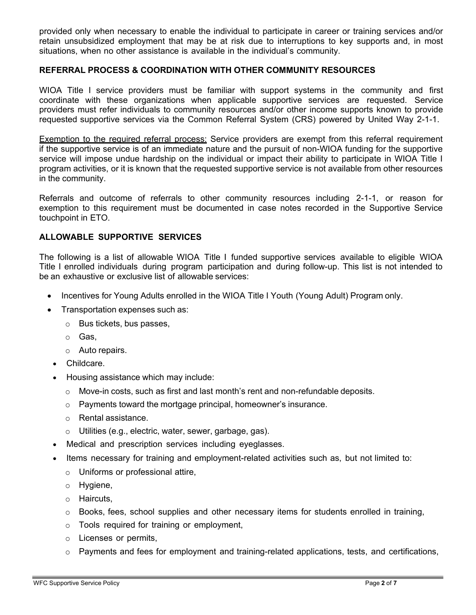provided only when necessary to enable the individual to participate in career or training services and/or retain unsubsidized employment that may be at risk due to interruptions to key supports and, in most situations, when no other assistance is available in the individual's community.

## **REFERRAL PROCESS & COORDINATION WITH OTHER COMMUNITY RESOURCES**

WIOA Title I service providers must be familiar with support systems in the community and first coordinate with these organizations when applicable supportive services are requested. Service providers must refer individuals to community resources and/or other income supports known to provide requested supportive services via the Common Referral System (CRS) powered by United Way 2-1-1.

Exemption to the required referral process: Service providers are exempt from this referral requirement if the supportive service is of an immediate nature and the pursuit of non-WIOA funding for the supportive service will impose undue hardship on the individual or impact their ability to participate in WIOA Title I program activities, or it is known that the requested supportive service is not available from other resources in the community.

Referrals and outcome of referrals to other community resources including 2-1-1, or reason for exemption to this requirement must be documented in case notes recorded in the Supportive Service touchpoint in ETO.

# **ALLOWABLE SUPPORTIVE SERVICES**

The following is a list of allowable WIOA Title I funded supportive services available to eligible WIOA Title I enrolled individuals during program participation and during follow-up. This list is not intended to be an exhaustive or exclusive list of allowable services:

- Incentives for Young Adults enrolled in the WIOA Title I Youth (Young Adult) Program only.
- Transportation expenses such as:
	- o Bus tickets, bus passes,
	- o Gas,
	- o Auto repairs.
	- Childcare.
	- Housing assistance which may include:
		- $\circ$  Move-in costs, such as first and last month's rent and non-refundable deposits.
		- o Payments toward the mortgage principal, homeowner's insurance.
		- o Rental assistance.
		- o Utilities (e.g., electric, water, sewer, garbage, gas).
	- Medical and prescription services including eyeglasses.
	- Items necessary for training and employment-related activities such as, but not limited to:
		- o Uniforms or professional attire,
		- o Hygiene,
		- o Haircuts,
		- $\circ$  Books, fees, school supplies and other necessary items for students enrolled in training,
		- o Tools required for training or employment,
		- o Licenses or permits,
		- $\circ$  Payments and fees for employment and training-related applications, tests, and certifications,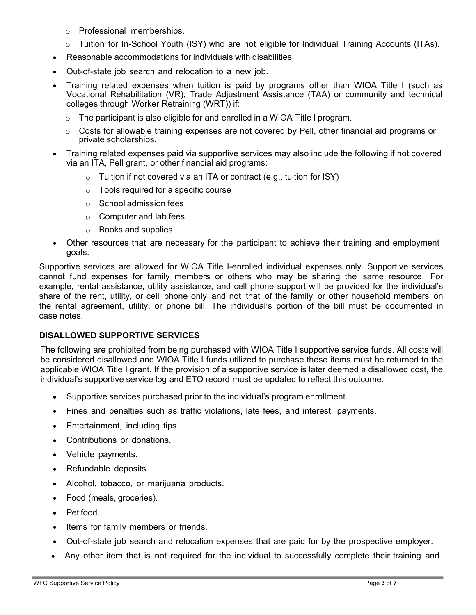- o Professional memberships.
- o Tuition for In-School Youth (ISY) who are not eligible for Individual Training Accounts (ITAs).
- Reasonable accommodations for individuals with disabilities.
- Out-of-state job search and relocation to a new job.
- Training related expenses when tuition is paid by programs other than WIOA Title I (such as Vocational Rehabilitation (VR), Trade Adjustment Assistance (TAA) or community and technical colleges through Worker Retraining (WRT)) if:
	- o The participant is also eligible for and enrolled in a WIOA Title I program.
	- $\circ$  Costs for allowable training expenses are not covered by Pell, other financial aid programs or private scholarships.
- Training related expenses paid via supportive services may also include the following if not covered via an ITA, Pell grant, or other financial aid programs:
	- $\circ$  Tuition if not covered via an ITA or contract (e.g., tuition for ISY)
	- o Tools required for a specific course
	- o School admission fees
	- o Computer and lab fees
	- o Books and supplies
- Other resources that are necessary for the participant to achieve their training and employment goals.

Supportive services are allowed for WIOA Title I-enrolled individual expenses only. Supportive services cannot fund expenses for family members or others who may be sharing the same resource. For example, rental assistance, utility assistance, and cell phone support will be provided for the individual's share of the rent, utility, or cell phone only and not that of the family or other household members on the rental agreement, utility, or phone bill. The individual's portion of the bill must be documented in case notes.

# **DISALLOWED SUPPORTIVE SERVICES**

The following are prohibited from being purchased with WIOA Title I supportive service funds. All costs will be considered disallowed and WIOA Title I funds utilized to purchase these items must be returned to the applicable WIOA Title I grant. If the provision of a supportive service is later deemed a disallowed cost, the individual's supportive service log and ETO record must be updated to reflect this outcome.

- Supportive services purchased prior to the individual's program enrollment.
- Fines and penalties such as traffic violations, late fees, and interest payments.
- Entertainment, including tips.
- Contributions or donations.
- Vehicle payments.
- Refundable deposits.
- Alcohol, tobacco, or marijuana products.
- Food (meals, groceries).
- Pet food.
- Items for family members or friends.
- Out-of-state job search and relocation expenses that are paid for by the prospective employer.
- Any other item that is not required for the individual to successfully complete their training and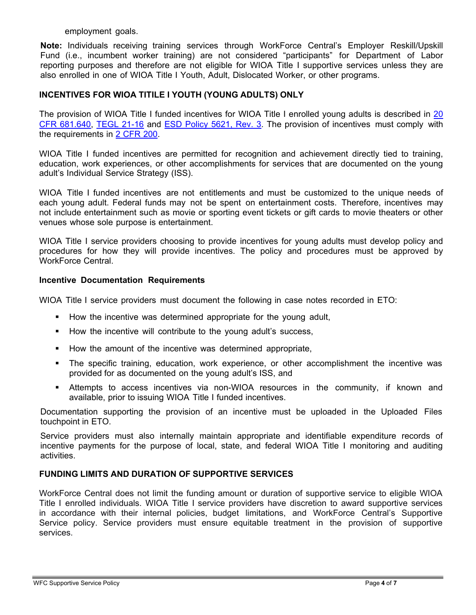#### employment goals.

**Note:** Individuals receiving training services through WorkForce Central's Employer Reskill/Upskill Fund (i.e., incumbent worker training) are not considered "participants" for Department of Labor reporting purposes and therefore are not eligible for WIOA Title I supportive services unless they are also enrolled in one of WIOA Title I Youth, Adult, Dislocated Worker, or other programs.

## **INCENTIVES FOR WIOA TITILE I YOUTH (YOUNG ADULTS) ONLY**

The provision of WIOA Title I funded incentives for WIOA Title I enrolled young adults is described in [20](https://www.govinfo.gov/app/details/CFR-2017-title20-vol4/CFR-2017-title20-vol4-sec681-640) [CFR 681.640,](https://www.govinfo.gov/app/details/CFR-2017-title20-vol4/CFR-2017-title20-vol4-sec681-640) [TEGL 21-16](https://wdr.doleta.gov/directives/attach/TEGL/TEGL_21-16.pdf) and ESD Policy [5621, Rev. 3. T](https://storemultisites.blob.core.windows.net/media/WPC/adm/policy/5621-3-1.pdf)he provision of incentives must comply with the requirements in 2 [CFR](https://www.ecfr.gov/cgi-bin/text-idx?tpl=/ecfrbrowse/Title02/2cfr200_main_02.tpl) 200.

WIOA Title I funded incentives are permitted for recognition and achievement directly tied to training, education, work experiences, or other accomplishments for services that are documented on the young adult's Individual Service Strategy (ISS).

WIOA Title I funded incentives are not entitlements and must be customized to the unique needs of each young adult. Federal funds may not be spent on entertainment costs. Therefore, incentives may not include entertainment such as movie or sporting event tickets or gift cards to movie theaters or other venues whose sole purpose is entertainment.

WIOA Title I service providers choosing to provide incentives for young adults must develop policy and procedures for how they will provide incentives. The policy and procedures must be approved by WorkForce Central.

#### **Incentive Documentation Requirements**

WIOA Title I service providers must document the following in case notes recorded in ETO:

- **How the incentive was determined appropriate for the young adult,**
- **How the incentive will contribute to the young adult's success,**
- How the amount of the incentive was determined appropriate,
- The specific training, education, work experience, or other accomplishment the incentive was provided for as documented on the young adult's ISS, and
- Attempts to access incentives via non-WIOA resources in the community, if known and available, prior to issuing WIOA Title I funded incentives.

Documentation supporting the provision of an incentive must be uploaded in the Uploaded Files touchpoint in ETO.

Service providers must also internally maintain appropriate and identifiable expenditure records of incentive payments for the purpose of local, state, and federal WIOA Title I monitoring and auditing activities.

## **FUNDING LIMITS AND DURATION OF SUPPORTIVE SERVICES**

WorkForce Central does not limit the funding amount or duration of supportive service to eligible WIOA Title I enrolled individuals. WIOA Title I service providers have discretion to award supportive services in accordance with their internal policies, budget limitations, and WorkForce Central's Supportive Service policy. Service providers must ensure equitable treatment in the provision of supportive services.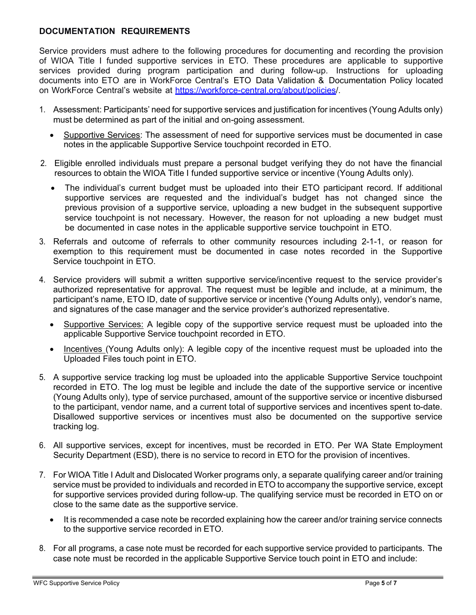# **DOCUMENTATION REQUIREMENTS**

Service providers must adhere to the following procedures for documenting and recording the provision of WIOA Title I funded supportive services in ETO. These procedures are applicable to supportive services provided during program participation and during follow-up. Instructions for uploading documents into ETO are in WorkForce Central's ETO Data Validation & Documentation Policy located on WorkForce Central's website at [https://workforce-central.org/about/policies/.](https://workforce-central.org/about/policies/)

- 1. Assessment: Participants' need for supportive services and justification for incentives (Young Adults only) must be determined as part of the initial and on-going assessment.
	- Supportive Services: The assessment of need for supportive services must be documented in case notes in the applicable Supportive Service touchpoint recorded in ETO.
- 2. Eligible enrolled individuals must prepare a personal budget verifying they do not have the financial resources to obtain the WIOA Title I funded supportive service or incentive (Young Adults only).
	- The individual's current budget must be uploaded into their ETO participant record. If additional supportive services are requested and the individual's budget has not changed since the previous provision of a supportive service, uploading a new budget in the subsequent supportive service touchpoint is not necessary. However, the reason for not uploading a new budget must be documented in case notes in the applicable supportive service touchpoint in ETO.
- 3. Referrals and outcome of referrals to other community resources including 2-1-1, or reason for exemption to this requirement must be documented in case notes recorded in the Supportive Service touchpoint in ETO.
- 4. Service providers will submit a written supportive service/incentive request to the service provider's authorized representative for approval. The request must be legible and include, at a minimum, the participant's name, ETO ID, date of supportive service or incentive (Young Adults only), vendor's name, and signatures of the case manager and the service provider's authorized representative.
	- Supportive Services: A legible copy of the supportive service request must be uploaded into the applicable Supportive Service touchpoint recorded in ETO.
	- Incentives (Young Adults only): A legible copy of the incentive request must be uploaded into the Uploaded Files touch point in ETO.
- 5. A supportive service tracking log must be uploaded into the applicable Supportive Service touchpoint recorded in ETO. The log must be legible and include the date of the supportive service or incentive (Young Adults only), type of service purchased, amount of the supportive service or incentive disbursed to the participant, vendor name, and a current total of supportive services and incentives spent to-date. Disallowed supportive services or incentives must also be documented on the supportive service tracking log.
- 6. All supportive services, except for incentives, must be recorded in ETO. Per WA State Employment Security Department (ESD), there is no service to record in ETO for the provision of incentives.
- 7. For WIOA Title I Adult and Dislocated Worker programs only, a separate qualifying career and/or training service must be provided to individuals and recorded in ETO to accompany the supportive service, except for supportive services provided during follow-up. The qualifying service must be recorded in ETO on or close to the same date as the supportive service.
	- It is recommended a case note be recorded explaining how the career and/or training service connects to the supportive service recorded in ETO.
- 8. For all programs, a case note must be recorded for each supportive service provided to participants. The case note must be recorded in the applicable Supportive Service touch point in ETO and include: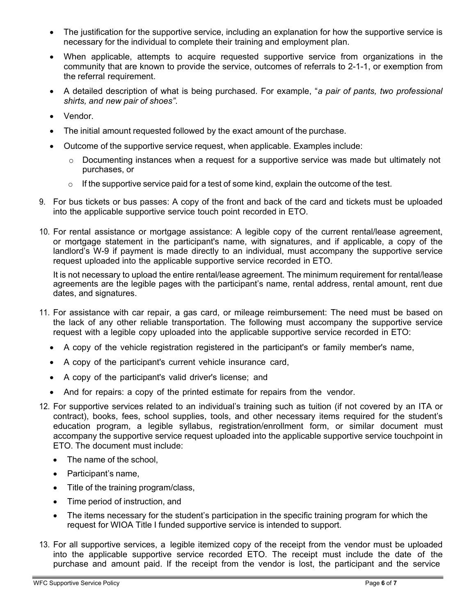- The justification for the supportive service, including an explanation for how the supportive service is necessary for the individual to complete their training and employment plan.
- When applicable, attempts to acquire requested supportive service from organizations in the community that are known to provide the service, outcomes of referrals to 2-1-1, or exemption from the referral requirement.
- A detailed description of what is being purchased. For example, "*a pair of pants, two professional shirts, and new pair of shoes"*.
- Vendor.
- The initial amount requested followed by the exact amount of the purchase.
- Outcome of the supportive service request, when applicable. Examples include:
	- $\circ$  Documenting instances when a request for a supportive service was made but ultimately not purchases, or
	- o If the supportive service paid for a test of some kind, explain the outcome of the test.
- 9. For bus tickets or bus passes: A copy of the front and back of the card and tickets must be uploaded into the applicable supportive service touch point recorded in ETO.
- 10. For rental assistance or mortgage assistance: A legible copy of the current rental/lease agreement, or mortgage statement in the participant's name, with signatures, and if applicable, a copy of the landlord's W-9 if payment is made directly to an individual, must accompany the supportive service request uploaded into the applicable supportive service recorded in ETO.

It is not necessary to upload the entire rental/lease agreement. The minimum requirement for rental/lease agreements are the legible pages with the participant's name, rental address, rental amount, rent due dates, and signatures.

- 11. For assistance with car repair, a gas card, or mileage reimbursement: The need must be based on the lack of any other reliable transportation. The following must accompany the supportive service request with a legible copy uploaded into the applicable supportive service recorded in ETO:
	- A copy of the vehicle registration registered in the participant's or family member's name,
	- A copy of the participant's current vehicle insurance card,
	- A copy of the participant's valid driver's license; and
	- And for repairs: a copy of the printed estimate for repairs from the vendor.
- 12. For supportive services related to an individual's training such as tuition (if not covered by an ITA or contract), books, fees, school supplies, tools, and other necessary items required for the student's education program, a legible syllabus, registration/enrollment form, or similar document must accompany the supportive service request uploaded into the applicable supportive service touchpoint in ETO. The document must include:
	- The name of the school,
	- Participant's name,
	- Title of the training program/class,
	- Time period of instruction, and
	- The items necessary for the student's participation in the specific training program for which the request for WIOA Title I funded supportive service is intended to support.
- 13. For all supportive services, a legible itemized copy of the receipt from the vendor must be uploaded into the applicable supportive service recorded ETO. The receipt must include the date of the purchase and amount paid. If the receipt from the vendor is lost, the participant and the service